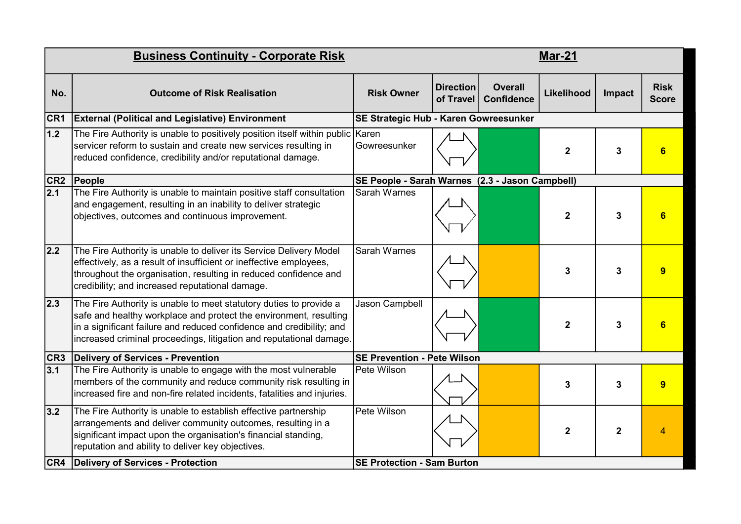| <b>Business Continuity - Corporate Risk</b> |                                                                                                                                                                                                                                                                                        |                                                 | <b>Mar-21</b>                 |                                     |                  |              |                             |  |  |
|---------------------------------------------|----------------------------------------------------------------------------------------------------------------------------------------------------------------------------------------------------------------------------------------------------------------------------------------|-------------------------------------------------|-------------------------------|-------------------------------------|------------------|--------------|-----------------------------|--|--|
| No.                                         | <b>Outcome of Risk Realisation</b>                                                                                                                                                                                                                                                     | <b>Risk Owner</b>                               | <b>Direction</b><br>of Travel | <b>Overall</b><br><b>Confidence</b> | Likelihood       | Impact       | <b>Risk</b><br><b>Score</b> |  |  |
| CR <sub>1</sub>                             | <b>External (Political and Legislative) Environment</b>                                                                                                                                                                                                                                | SE Strategic Hub - Karen Gowreesunker           |                               |                                     |                  |              |                             |  |  |
| 1.2                                         | The Fire Authority is unable to positively position itself within public Karen<br>servicer reform to sustain and create new services resulting in<br>reduced confidence, credibility and/or reputational damage.                                                                       | Gowreesunker                                    |                               |                                     | $\boldsymbol{2}$ | 3            | 6                           |  |  |
|                                             | CR2 People                                                                                                                                                                                                                                                                             | SE People - Sarah Warnes (2.3 - Jason Campbell) |                               |                                     |                  |              |                             |  |  |
| 2.1                                         | The Fire Authority is unable to maintain positive staff consultation<br>and engagement, resulting in an inability to deliver strategic<br>objectives, outcomes and continuous improvement.                                                                                             | <b>Sarah Warnes</b>                             |                               |                                     | $\mathbf{2}$     | 3            | 6                           |  |  |
| 2.2                                         | The Fire Authority is unable to deliver its Service Delivery Model<br>effectively, as a result of insufficient or ineffective employees,<br>throughout the organisation, resulting in reduced confidence and<br>credibility; and increased reputational damage.                        | <b>Sarah Warnes</b>                             |                               |                                     | 3                | 3            | 9                           |  |  |
| $ 2.3\rangle$                               | The Fire Authority is unable to meet statutory duties to provide a<br>safe and healthy workplace and protect the environment, resulting<br>in a significant failure and reduced confidence and credibility; and<br>increased criminal proceedings, litigation and reputational damage. | Jason Campbell                                  |                               |                                     | $\mathbf{2}$     | 3            | 6                           |  |  |
| CR3                                         | Delivery of Services - Prevention                                                                                                                                                                                                                                                      | <b>SE Prevention - Pete Wilson</b>              |                               |                                     |                  |              |                             |  |  |
| 3.1                                         | The Fire Authority is unable to engage with the most vulnerable<br>members of the community and reduce community risk resulting in<br>increased fire and non-fire related incidents, fatalities and injuries.                                                                          | Pete Wilson                                     |                               |                                     | 3                | 3            | 9                           |  |  |
| 3.2                                         | The Fire Authority is unable to establish effective partnership<br>arrangements and deliver community outcomes, resulting in a<br>significant impact upon the organisation's financial standing,<br>reputation and ability to deliver key objectives.                                  | Pete Wilson                                     |                               |                                     | $\mathbf{2}$     | $\mathbf{2}$ | $\overline{4}$              |  |  |
|                                             | <b>CR4</b> Delivery of Services - Protection                                                                                                                                                                                                                                           | <b>SE Protection - Sam Burton</b>               |                               |                                     |                  |              |                             |  |  |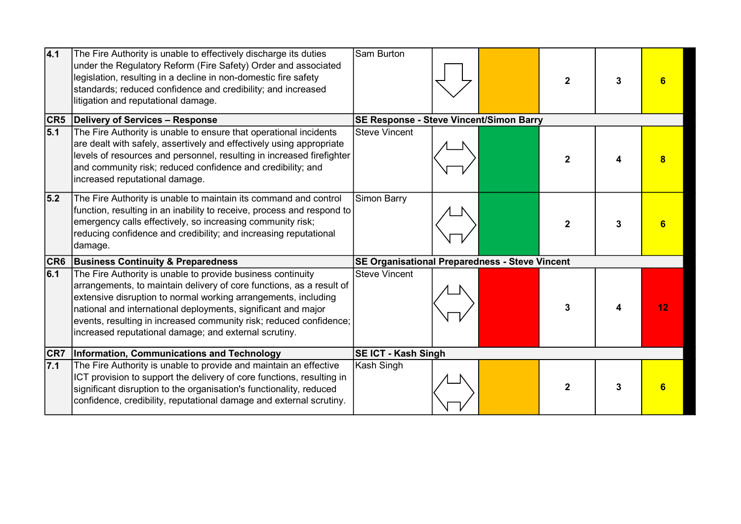| 4.1              | The Fire Authority is unable to effectively discharge its duties<br>under the Regulatory Reform (Fire Safety) Order and associated<br>legislation, resulting in a decline in non-domestic fire safety<br>standards; reduced confidence and credibility; and increased<br>litigation and reputational damage.                                                                                          | Sam Burton                                     |  |  | $\mathbf{2}$ | 3 |    |
|------------------|-------------------------------------------------------------------------------------------------------------------------------------------------------------------------------------------------------------------------------------------------------------------------------------------------------------------------------------------------------------------------------------------------------|------------------------------------------------|--|--|--------------|---|----|
|                  | <b>CR5</b> Delivery of Services - Response                                                                                                                                                                                                                                                                                                                                                            | <b>SE Response - Steve Vincent/Simon Barry</b> |  |  |              |   |    |
| 5.1              | The Fire Authority is unable to ensure that operational incidents<br>are dealt with safely, assertively and effectively using appropriate<br>levels of resources and personnel, resulting in increased firefighter<br>and community risk; reduced confidence and credibility; and<br>increased reputational damage.                                                                                   | <b>Steve Vincent</b>                           |  |  | $\mathbf{2}$ |   |    |
| 5.2              | The Fire Authority is unable to maintain its command and control<br>function, resulting in an inability to receive, process and respond to<br>emergency calls effectively, so increasing community risk;<br>reducing confidence and credibility; and increasing reputational<br> damage.                                                                                                              | Simon Barry                                    |  |  | $\mathbf{2}$ |   |    |
|                  | <b>CR6</b> Business Continuity & Preparedness                                                                                                                                                                                                                                                                                                                                                         | SE Organisational Preparedness - Steve Vincent |  |  |              |   |    |
| 6.1              | The Fire Authority is unable to provide business continuity<br>arrangements, to maintain delivery of core functions, as a result of<br>extensive disruption to normal working arrangements, including<br>national and international deployments, significant and major<br>events, resulting in increased community risk; reduced confidence;<br>increased reputational damage; and external scrutiny. | <b>Steve Vincent</b>                           |  |  | 3            |   | 12 |
| CR7              | Information, Communications and Technology                                                                                                                                                                                                                                                                                                                                                            | <b>SE ICT - Kash Singh</b>                     |  |  |              |   |    |
| $\overline{7.1}$ | The Fire Authority is unable to provide and maintain an effective<br>ICT provision to support the delivery of core functions, resulting in<br>significant disruption to the organisation's functionality, reduced<br>confidence, credibility, reputational damage and external scrutiny.                                                                                                              | Kash Singh                                     |  |  | $\mathbf{2}$ |   |    |